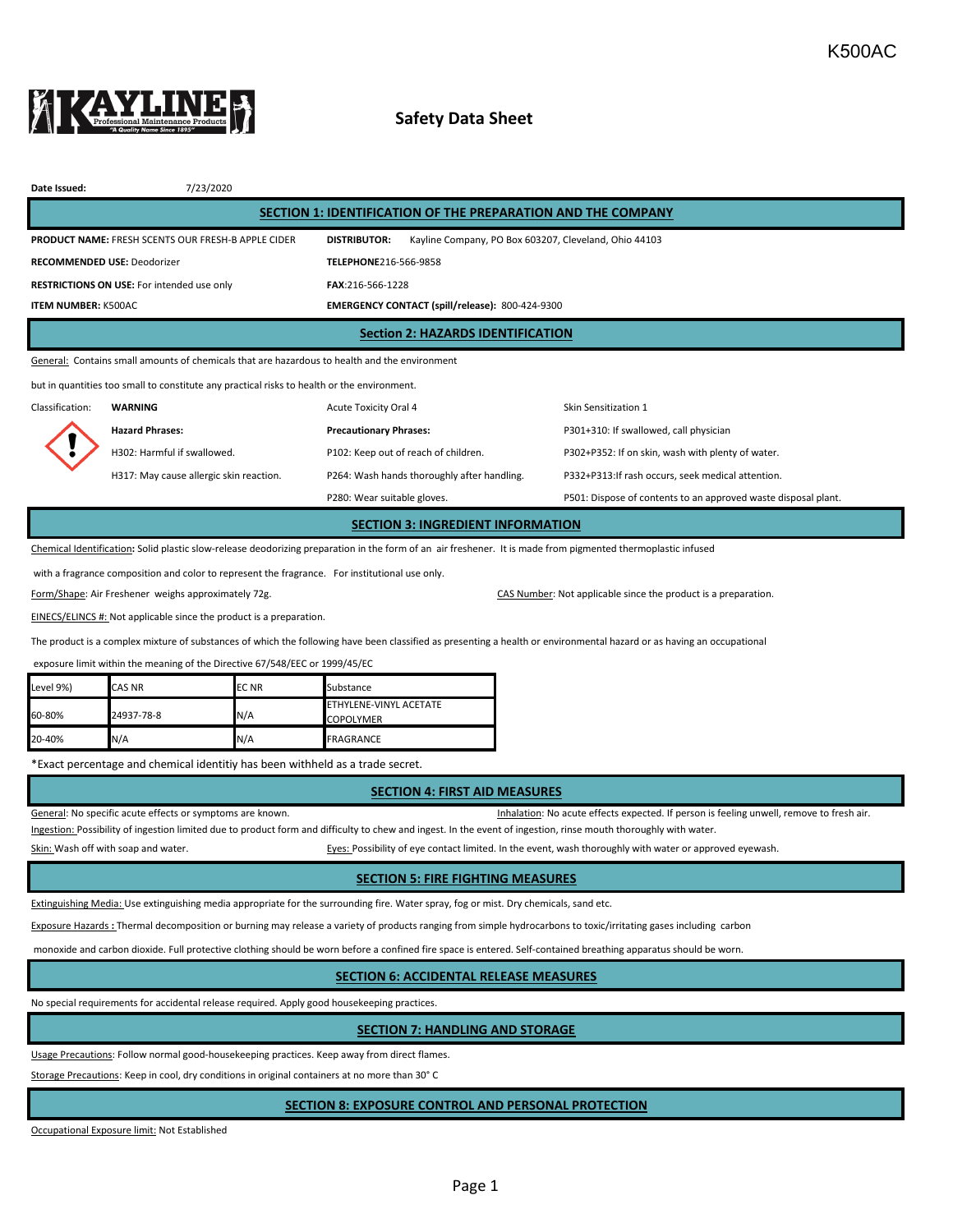

# **Safety Data Sheet**

| Date Issued:                                                                                  | 7/23/2020                                                 |                                                                              |                                                   |  |  |  |  |  |
|-----------------------------------------------------------------------------------------------|-----------------------------------------------------------|------------------------------------------------------------------------------|---------------------------------------------------|--|--|--|--|--|
| SECTION 1: IDENTIFICATION OF THE PREPARATION AND THE COMPANY                                  |                                                           |                                                                              |                                                   |  |  |  |  |  |
|                                                                                               | <b>PRODUCT NAME: FRESH SCENTS OUR FRESH-B APPLE CIDER</b> | Kayline Company, PO Box 603207, Cleveland, Ohio 44103<br><b>DISTRIBUTOR:</b> |                                                   |  |  |  |  |  |
| <b>RECOMMENDED USE: Deodorizer</b>                                                            |                                                           | TELEPHONE216-566-9858                                                        |                                                   |  |  |  |  |  |
| <b>RESTRICTIONS ON USE:</b> For intended use only                                             |                                                           | FAX:216-566-1228                                                             |                                                   |  |  |  |  |  |
| <b>ITEM NUMBER: K500AC</b>                                                                    |                                                           | EMERGENCY CONTACT (spill/release): 800-424-9300                              |                                                   |  |  |  |  |  |
| <b>Section 2: HAZARDS IDENTIFICATION</b>                                                      |                                                           |                                                                              |                                                   |  |  |  |  |  |
| General: Contains small amounts of chemicals that are hazardous to health and the environment |                                                           |                                                                              |                                                   |  |  |  |  |  |
| but in quantities too small to constitute any practical risks to health or the environment.   |                                                           |                                                                              |                                                   |  |  |  |  |  |
| Classification:                                                                               | <b>WARNING</b>                                            | Acute Toxicity Oral 4                                                        | Skin Sensitization 1                              |  |  |  |  |  |
|                                                                                               | <b>Hazard Phrases:</b>                                    | <b>Precautionary Phrases:</b>                                                | P301+310: If swallowed, call physician            |  |  |  |  |  |
|                                                                                               | H302: Harmful if swallowed.                               | P102: Keep out of reach of children.                                         | P302+P352: If on skin, wash with plenty of water. |  |  |  |  |  |
|                                                                                               | H317: May cause allergic skin reaction.                   | P264: Wash hands thoroughly after handling.                                  | P332+P313:If rash occurs, seek medical attention. |  |  |  |  |  |

P280: Wear suitable gloves. P501: Dispose of contents to an approved waste disposal plant.

**SECTION 3: INGREDIENT INFORMATION**

Chemical Identification**:** Solid plastic slow-release deodorizing preparation in the form of an air freshener. It is made from pigmented thermoplastic infused

with a fragrance composition and color to represent the fragrance. For institutional use only.

Form/Shape: Air Freshener weighs approximately 72g. CAS Number: Not applicable since the product is a preparation.

EINECS/ELINCS #: Not applicable since the product is a preparation.

The product is a complex mixture of substances of which the following have been classified as presenting a health or environmental hazard or as having an occupational

exposure limit within the meaning of the Directive 67/548/EEC or 1999/45/EC

| Level 9%) | <b>CAS NR</b> | <b>ECNR</b> | Substance                                  |
|-----------|---------------|-------------|--------------------------------------------|
| 60-80%    | 24937-78-8    | N/A         | ETHYLENE-VINYL ACETATE<br><b>COPOLYMER</b> |
| 20-40%    | N/A           | N/A         | <b>FRAGRANCE</b>                           |

\*Exact percentage and chemical identitiy has been withheld as a trade secret.

#### **SECTION 4: FIRST AID MEASURES**

General: No specific acute effects or symptoms are known. That is a series of the state of the state of resh air.

Ingestion: Possibility of ingestion limited due to product form and difficulty to chew and ingest. In the event of ingestion, rinse mouth thoroughly with water.

Skin: Wash off with soap and water. The state of the state of eyes: Possibility of eye contact limited. In the event, wash thoroughly with water or approved eyewash.

#### **SECTION 5: FIRE FIGHTING MEASURES**

Extinguishing Media: Use extinguishing media appropriate for the surrounding fire. Water spray, fog or mist. Dry chemicals, sand etc.

Exposure Hazards **:** Thermal decomposition or burning may release a variety of products ranging from simple hydrocarbons to toxic/irritating gases including carbon

monoxide and carbon dioxide. Full protective clothing should be worn before a confined fire space is entered. Self-contained breathing apparatus should be worn.

## **SECTION 6: ACCIDENTAL RELEASE MEASURES**

No special requirements for accidental release required. Apply good housekeeping practices.

## **SECTION 7: HANDLING AND STORAGE**

Usage Precautions: Follow normal good-housekeeping practices. Keep away from direct flames.

Storage Precautions: Keep in cool, dry conditions in original containers at no more than 30° C

#### **SECTION 8: EXPOSURE CONTROL AND PERSONAL PROTECTION**

Occupational Exposure limit: Not Established